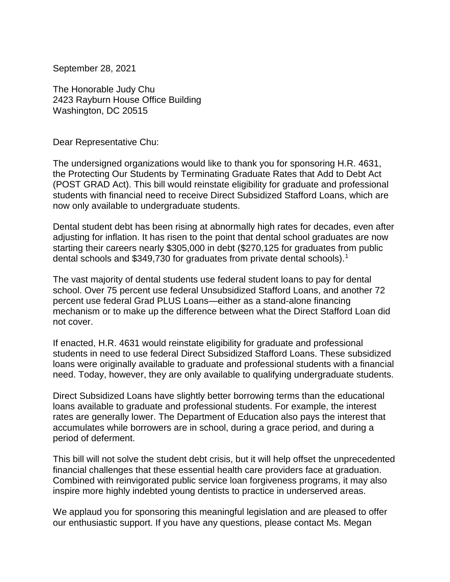September 28, 2021

The Honorable Judy Chu 2423 Rayburn House Office Building Washington, DC 20515

Dear Representative Chu:

The undersigned organizations would like to thank you for sponsoring H.R. 4631, the Protecting Our Students by Terminating Graduate Rates that Add to Debt Act (POST GRAD Act). This bill would reinstate eligibility for graduate and professional students with financial need to receive Direct Subsidized Stafford Loans, which are now only available to undergraduate students.

Dental student debt has been rising at abnormally high rates for decades, even after adjusting for inflation. It has risen to the point that dental school graduates are now starting their careers nearly \$305,000 in debt (\$270,125 for graduates from public dental schools and \$349,730 for graduates from private dental schools).<sup>1</sup>

The vast majority of dental students use federal student loans to pay for dental school. Over 75 percent use federal Unsubsidized Stafford Loans, and another 72 percent use federal Grad PLUS Loans—either as a stand-alone financing mechanism or to make up the difference between what the Direct Stafford Loan did not cover.

If enacted, H.R. 4631 would reinstate eligibility for graduate and professional students in need to use federal Direct Subsidized Stafford Loans. These subsidized loans were originally available to graduate and professional students with a financial need. Today, however, they are only available to qualifying undergraduate students.

Direct Subsidized Loans have slightly better borrowing terms than the educational loans available to graduate and professional students. For example, the interest rates are generally lower. The Department of Education also pays the interest that accumulates while borrowers are in school, during a grace period, and during a period of deferment.

This bill will not solve the student debt crisis, but it will help offset the unprecedented financial challenges that these essential health care providers face at graduation. Combined with reinvigorated public service loan forgiveness programs, it may also inspire more highly indebted young dentists to practice in underserved areas.

We applaud you for sponsoring this meaningful legislation and are pleased to offer our enthusiastic support. If you have any questions, please contact Ms. Megan